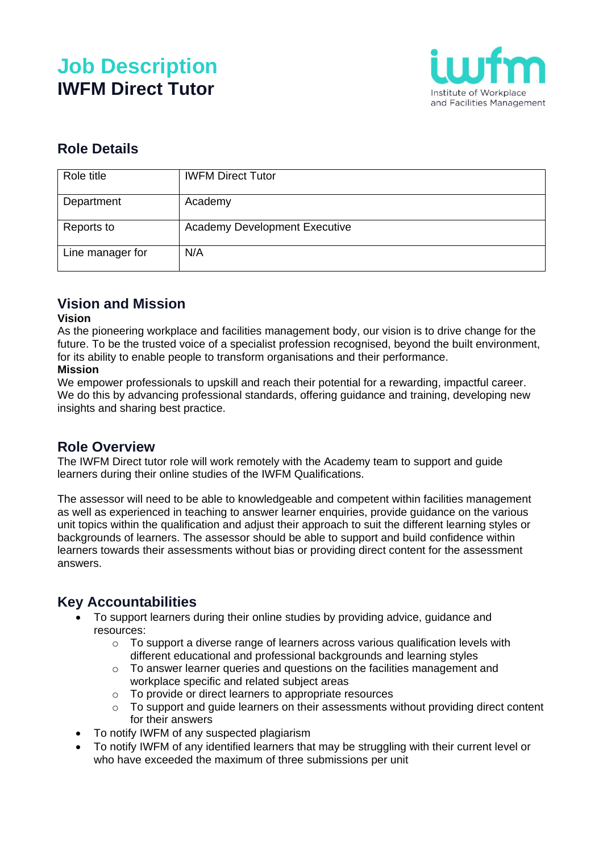# **Job Description IWFM Direct Tutor**



# **Role Details**

| Role title       | <b>IWFM Direct Tutor</b>             |
|------------------|--------------------------------------|
| Department       | Academy                              |
| Reports to       | <b>Academy Development Executive</b> |
| Line manager for | N/A                                  |

## **Vision and Mission**

#### **Vision**

As the pioneering workplace and facilities management body, our vision is to drive change for the future. To be the trusted voice of a specialist profession recognised, beyond the built environment, for its ability to enable people to transform organisations and their performance.

#### **Mission**

We empower professionals to upskill and reach their potential for a rewarding, impactful career. We do this by advancing professional standards, offering guidance and training, developing new insights and sharing best practice.

#### **Role Overview**

The IWFM Direct tutor role will work remotely with the Academy team to support and guide learners during their online studies of the IWFM Qualifications.

The assessor will need to be able to knowledgeable and competent within facilities management as well as experienced in teaching to answer learner enquiries, provide guidance on the various unit topics within the qualification and adjust their approach to suit the different learning styles or backgrounds of learners. The assessor should be able to support and build confidence within learners towards their assessments without bias or providing direct content for the assessment answers.

### **Key Accountabilities**

- To support learners during their online studies by providing advice, guidance and resources:
	- $\circ$  To support a diverse range of learners across various qualification levels with different educational and professional backgrounds and learning styles
	- o To answer learner queries and questions on the facilities management and workplace specific and related subject areas
	- o To provide or direct learners to appropriate resources
	- $\circ$  To support and quide learners on their assessments without providing direct content for their answers
- To notify IWFM of any suspected plagiarism
- To notify IWFM of any identified learners that may be struggling with their current level or who have exceeded the maximum of three submissions per unit